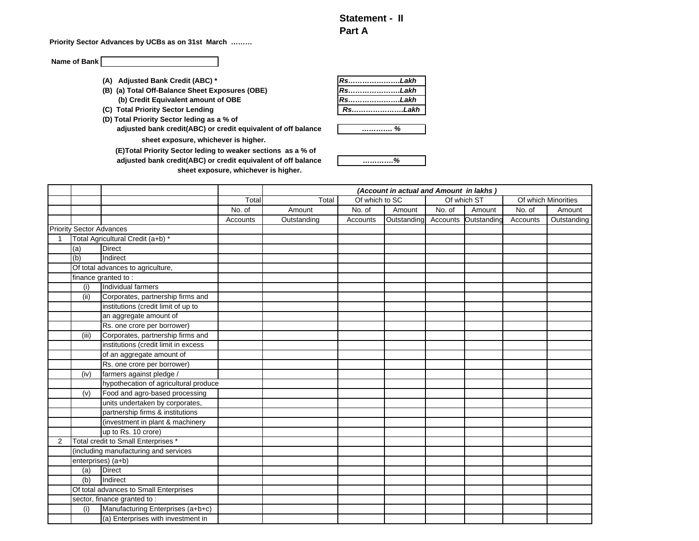## **Statement - II Part A**

**Priority Sector Advances by UCBs as on 31st March ………**

**Name of Bank**

- (A) Adjusted Bank Credit (ABC) \*
- **(B) (a) Total Off-Balance Sheet Exposures (OBE) (b) Credit Equivalent amount of OBE**
- **(C) Total Priority Sector Lending**
- **(D) Total Priority Sector leding as a % of**

**adjusted bank credit(ABC) or credit equivalent of off balance sheet exposure, whichever is higher.** 

**sheet exposure, whichever is higher. adjusted bank credit(ABC) or credit equivalent of off balance (E)Total Priority Sector leding to weaker sections as a % of** 

| Rs……………………Lakh |  |
|----------------|--|
| RsLakh         |  |
| RsLakh         |  |
| RsLakh         |  |



*………….%*

|   |                                 |                                        |          |             |                | (Account in actual and Amount in lakhs) |          |             |          |                     |
|---|---------------------------------|----------------------------------------|----------|-------------|----------------|-----------------------------------------|----------|-------------|----------|---------------------|
|   |                                 |                                        | Total    | Total       | Of which to SC |                                         |          | Of which ST |          | Of which Minorities |
|   |                                 |                                        | No. of   | Amount      | No. of         | Amount                                  | No. of   | Amount      | No. of   | Amount              |
|   |                                 |                                        | Accounts | Outstanding | Accounts       | Outstanding                             | Accounts | Outstandino | Accounts | Outstanding         |
|   | <b>Priority Sector Advances</b> |                                        |          |             |                |                                         |          |             |          |                     |
|   |                                 | Total Agricultural Credit (a+b) *      |          |             |                |                                         |          |             |          |                     |
|   | (a)                             | <b>Direct</b>                          |          |             |                |                                         |          |             |          |                     |
|   | (b)                             | Indirect                               |          |             |                |                                         |          |             |          |                     |
|   |                                 | Of total advances to agriculture,      |          |             |                |                                         |          |             |          |                     |
|   |                                 | finance granted to:                    |          |             |                |                                         |          |             |          |                     |
|   | (i)                             | Individual farmers                     |          |             |                |                                         |          |             |          |                     |
|   | (ii)                            | Corporates, partnership firms and      |          |             |                |                                         |          |             |          |                     |
|   |                                 | institutions (credit limit of up to    |          |             |                |                                         |          |             |          |                     |
|   |                                 | an aggregate amount of                 |          |             |                |                                         |          |             |          |                     |
|   |                                 | Rs. one crore per borrower)            |          |             |                |                                         |          |             |          |                     |
|   | (iii)                           | Corporates, partnership firms and      |          |             |                |                                         |          |             |          |                     |
|   |                                 | institutions (credit limit in excess   |          |             |                |                                         |          |             |          |                     |
|   |                                 | of an aggregate amount of              |          |             |                |                                         |          |             |          |                     |
|   |                                 | Rs. one crore per borrower)            |          |             |                |                                         |          |             |          |                     |
|   | (iv)                            | farmers against pledge /               |          |             |                |                                         |          |             |          |                     |
|   |                                 | hypothecation of agricultural produce  |          |             |                |                                         |          |             |          |                     |
|   | (v)                             | Food and agro-based processing         |          |             |                |                                         |          |             |          |                     |
|   |                                 | units undertaken by corporates,        |          |             |                |                                         |          |             |          |                     |
|   |                                 | partnership firms & institutions       |          |             |                |                                         |          |             |          |                     |
|   |                                 | (investment in plant & machinery       |          |             |                |                                         |          |             |          |                     |
|   |                                 | up to Rs. 10 crore)                    |          |             |                |                                         |          |             |          |                     |
| 2 |                                 | Total credit to Small Enterprises *    |          |             |                |                                         |          |             |          |                     |
|   |                                 | (including manufacturing and services  |          |             |                |                                         |          |             |          |                     |
|   |                                 | enterprises) (a+b)                     |          |             |                |                                         |          |             |          |                     |
|   | (a)                             | <b>Direct</b>                          |          |             |                |                                         |          |             |          |                     |
|   | (b)                             | Indirect                               |          |             |                |                                         |          |             |          |                     |
|   |                                 | Of total advances to Small Enterprises |          |             |                |                                         |          |             |          |                     |
|   |                                 | sector, finance granted to:            |          |             |                |                                         |          |             |          |                     |
|   | (i)                             | Manufacturing Enterprises (a+b+c)      |          |             |                |                                         |          |             |          |                     |
|   |                                 | (a) Enterprises with investment in     |          |             |                |                                         |          |             |          |                     |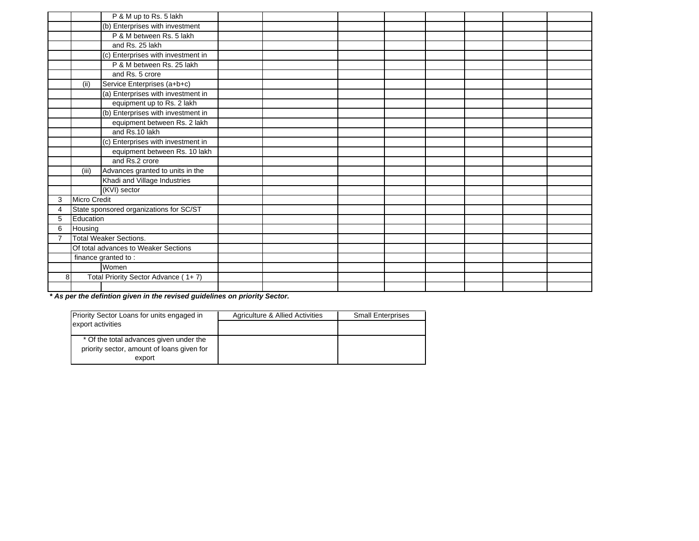|                |                     | P & M up to Rs. 5 lakh                  |  |  |  |  |
|----------------|---------------------|-----------------------------------------|--|--|--|--|
|                |                     | (b) Enterprises with investment         |  |  |  |  |
|                |                     | P & M between Rs. 5 lakh                |  |  |  |  |
|                |                     | and Rs. 25 lakh                         |  |  |  |  |
|                |                     | (c) Enterprises with investment in      |  |  |  |  |
|                |                     | P & M between Rs. 25 lakh               |  |  |  |  |
|                |                     | and Rs. 5 crore                         |  |  |  |  |
|                | (ii)                | Service Enterprises (a+b+c)             |  |  |  |  |
|                |                     | (a) Enterprises with investment in      |  |  |  |  |
|                |                     | equipment up to Rs. 2 lakh              |  |  |  |  |
|                |                     | (b) Enterprises with investment in      |  |  |  |  |
|                |                     | equipment between Rs. 2 lakh            |  |  |  |  |
|                |                     | and Rs.10 lakh                          |  |  |  |  |
|                |                     | (c) Enterprises with investment in      |  |  |  |  |
|                |                     | equipment between Rs. 10 lakh           |  |  |  |  |
|                |                     | and Rs.2 crore                          |  |  |  |  |
|                | (iii)               | Advances granted to units in the        |  |  |  |  |
|                |                     | Khadi and Village Industries            |  |  |  |  |
|                |                     | (KVI) sector                            |  |  |  |  |
| 3              | <b>Micro Credit</b> |                                         |  |  |  |  |
| $\overline{4}$ |                     | State sponsored organizations for SC/ST |  |  |  |  |
| 5              | Education           |                                         |  |  |  |  |
| 6              | Housing             |                                         |  |  |  |  |
|                |                     | <b>Total Weaker Sections.</b>           |  |  |  |  |
|                |                     | Of total advances to Weaker Sections    |  |  |  |  |
|                |                     | finance granted to:                     |  |  |  |  |
|                |                     | Women                                   |  |  |  |  |
| 8              |                     | Total Priority Sector Advance (1+7)     |  |  |  |  |
|                |                     |                                         |  |  |  |  |

*\* As per the defintion given in the revised guidelines on priority Sector.*

| <b>Priority Sector Loans for units engaged in</b>                                     | Agriculture & Allied Activities | <b>Small Enterprises</b> |
|---------------------------------------------------------------------------------------|---------------------------------|--------------------------|
| export activities                                                                     |                                 |                          |
| * Of the total advances given under the<br>priority sector, amount of loans given for |                                 |                          |
| export                                                                                |                                 |                          |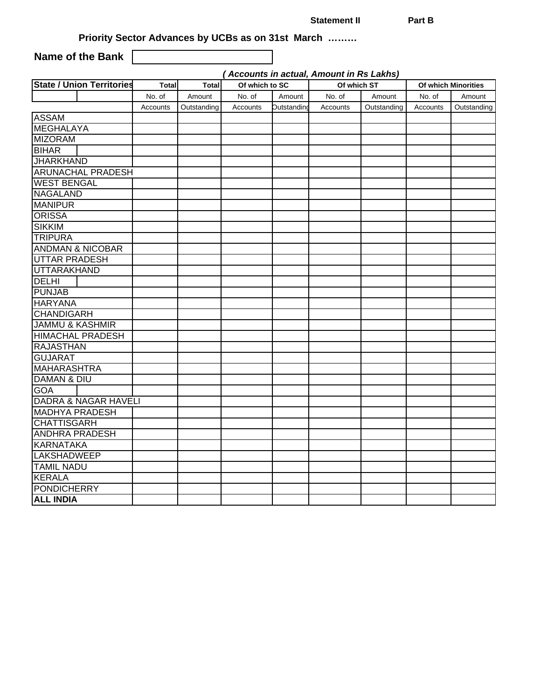**Statement II** Part B

**Priority Sector Advances by UCBs as on 31st March ………**

**Name of the Bank**

*( Accounts in actual, Amount in Rs Lakhs)*

| <b>State / Union Territories</b> | <b>Total</b> | <b>Total</b> | Of which to SC |             | Of which ST |             |          | Of which Minorities |
|----------------------------------|--------------|--------------|----------------|-------------|-------------|-------------|----------|---------------------|
|                                  | No. of       | Amount       | No. of         | Amount      | No. of      | Amount      | No. of   | Amount              |
|                                  | Accounts     | Outstanding  | Accounts       | Outstandino | Accounts    | Outstanding | Accounts | Outstanding         |
| <b>ASSAM</b>                     |              |              |                |             |             |             |          |                     |
| <b>MEGHALAYA</b>                 |              |              |                |             |             |             |          |                     |
| <b>MIZORAM</b>                   |              |              |                |             |             |             |          |                     |
| <b>BIHAR</b>                     |              |              |                |             |             |             |          |                     |
| <b>JHARKHAND</b>                 |              |              |                |             |             |             |          |                     |
| <b>ARUNACHAL PRADESH</b>         |              |              |                |             |             |             |          |                     |
| <b>WEST BENGAL</b>               |              |              |                |             |             |             |          |                     |
| <b>NAGALAND</b>                  |              |              |                |             |             |             |          |                     |
| <b>MANIPUR</b>                   |              |              |                |             |             |             |          |                     |
| <b>ORISSA</b>                    |              |              |                |             |             |             |          |                     |
| <b>SIKKIM</b>                    |              |              |                |             |             |             |          |                     |
| <b>TRIPURA</b>                   |              |              |                |             |             |             |          |                     |
| <b>ANDMAN &amp; NICOBAR</b>      |              |              |                |             |             |             |          |                     |
| <b>UTTAR PRADESH</b>             |              |              |                |             |             |             |          |                     |
| <b>UTTARAKHAND</b>               |              |              |                |             |             |             |          |                     |
| <b>DELHI</b>                     |              |              |                |             |             |             |          |                     |
| <b>PUNJAB</b>                    |              |              |                |             |             |             |          |                     |
| <b>HARYANA</b>                   |              |              |                |             |             |             |          |                     |
| <b>CHANDIGARH</b>                |              |              |                |             |             |             |          |                     |
| <b>JAMMU &amp; KASHMIR</b>       |              |              |                |             |             |             |          |                     |
| <b>HIMACHAL PRADESH</b>          |              |              |                |             |             |             |          |                     |
| <b>RAJASTHAN</b>                 |              |              |                |             |             |             |          |                     |
| <b>GUJARAT</b>                   |              |              |                |             |             |             |          |                     |
| <b>MAHARASHTRA</b>               |              |              |                |             |             |             |          |                     |
| <b>DAMAN &amp; DIU</b>           |              |              |                |             |             |             |          |                     |
| <b>GOA</b>                       |              |              |                |             |             |             |          |                     |
| <b>DADRA &amp; NAGAR HAVELI</b>  |              |              |                |             |             |             |          |                     |
| <b>MADHYA PRADESH</b>            |              |              |                |             |             |             |          |                     |
| <b>CHATTISGARH</b>               |              |              |                |             |             |             |          |                     |
| <b>ANDHRA PRADESH</b>            |              |              |                |             |             |             |          |                     |
| KARNATAKA                        |              |              |                |             |             |             |          |                     |
| <b>LAKSHADWEEP</b>               |              |              |                |             |             |             |          |                     |
| <b>TAMIL NADU</b>                |              |              |                |             |             |             |          |                     |
| <b>KERALA</b>                    |              |              |                |             |             |             |          |                     |
| <b>PONDICHERRY</b>               |              |              |                |             |             |             |          |                     |
| <b>ALL INDIA</b>                 |              |              |                |             |             |             |          |                     |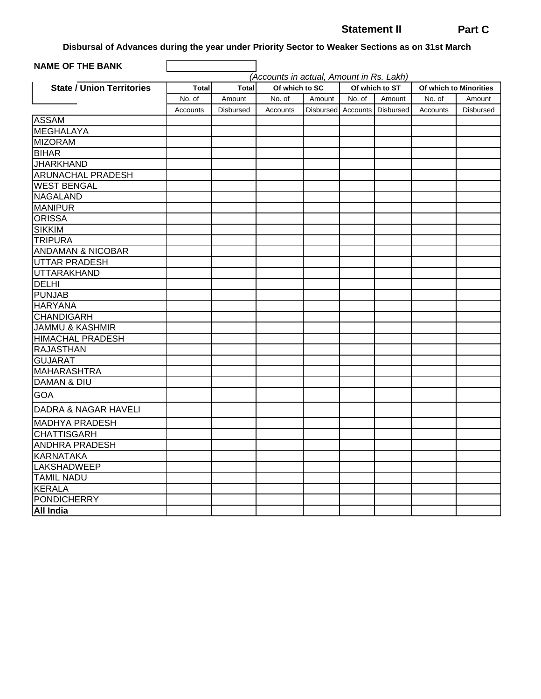## **Statement II Part C**

**Disbursal of Advances during the year under Priority Sector to Weaker Sections as on 31st March**

| <b>NAME OF THE BANK</b>          |                        |                        |                                          |        |                    |                          |          |                                  |
|----------------------------------|------------------------|------------------------|------------------------------------------|--------|--------------------|--------------------------|----------|----------------------------------|
|                                  |                        |                        | (Accounts in actual, Amount in Rs. Lakh) |        |                    |                          |          |                                  |
| <b>State / Union Territories</b> | <b>Total</b><br>No. of | <b>Total</b><br>Amount | Of which to SC<br>No. of                 | Amount | No. of             | Of which to ST<br>Amount | No. of   | Of which to Minorities<br>Amount |
|                                  | Accounts               | <b>Disbursed</b>       | Accounts                                 |        | Disbursed Accounts | Disbursed                | Accounts | Disbursed                        |
| <b>ASSAM</b>                     |                        |                        |                                          |        |                    |                          |          |                                  |
| <b>MEGHALAYA</b>                 |                        |                        |                                          |        |                    |                          |          |                                  |
| <b>MIZORAM</b>                   |                        |                        |                                          |        |                    |                          |          |                                  |
| <b>BIHAR</b>                     |                        |                        |                                          |        |                    |                          |          |                                  |
| <b>JHARKHAND</b>                 |                        |                        |                                          |        |                    |                          |          |                                  |
| <b>ARUNACHAL PRADESH</b>         |                        |                        |                                          |        |                    |                          |          |                                  |
| <b>WEST BENGAL</b>               |                        |                        |                                          |        |                    |                          |          |                                  |
| <b>NAGALAND</b>                  |                        |                        |                                          |        |                    |                          |          |                                  |
| <b>MANIPUR</b>                   |                        |                        |                                          |        |                    |                          |          |                                  |
| <b>ORISSA</b>                    |                        |                        |                                          |        |                    |                          |          |                                  |
| <b>SIKKIM</b>                    |                        |                        |                                          |        |                    |                          |          |                                  |
| <b>TRIPURA</b>                   |                        |                        |                                          |        |                    |                          |          |                                  |
| <b>ANDAMAN &amp; NICOBAR</b>     |                        |                        |                                          |        |                    |                          |          |                                  |
| <b>UTTAR PRADESH</b>             |                        |                        |                                          |        |                    |                          |          |                                  |
| <b>UTTARAKHAND</b>               |                        |                        |                                          |        |                    |                          |          |                                  |
| <b>DELHI</b>                     |                        |                        |                                          |        |                    |                          |          |                                  |
| <b>PUNJAB</b>                    |                        |                        |                                          |        |                    |                          |          |                                  |
| <b>HARYANA</b>                   |                        |                        |                                          |        |                    |                          |          |                                  |
| <b>CHANDIGARH</b>                |                        |                        |                                          |        |                    |                          |          |                                  |
| <b>JAMMU &amp; KASHMIR</b>       |                        |                        |                                          |        |                    |                          |          |                                  |
| <b>HIMACHAL PRADESH</b>          |                        |                        |                                          |        |                    |                          |          |                                  |
| <b>RAJASTHAN</b>                 |                        |                        |                                          |        |                    |                          |          |                                  |
| <b>GUJARAT</b>                   |                        |                        |                                          |        |                    |                          |          |                                  |
| <b>MAHARASHTRA</b>               |                        |                        |                                          |        |                    |                          |          |                                  |
| <b>DAMAN &amp; DIU</b>           |                        |                        |                                          |        |                    |                          |          |                                  |
| GOA                              |                        |                        |                                          |        |                    |                          |          |                                  |
| DADRA & NAGAR HAVELI             |                        |                        |                                          |        |                    |                          |          |                                  |
| <b>MADHYA PRADESH</b>            |                        |                        |                                          |        |                    |                          |          |                                  |
| <b>CHATTISGARH</b>               |                        |                        |                                          |        |                    |                          |          |                                  |
| <b>ANDHRA PRADESH</b>            |                        |                        |                                          |        |                    |                          |          |                                  |
| <b>KARNATAKA</b>                 |                        |                        |                                          |        |                    |                          |          |                                  |
| <b>LAKSHADWEEP</b>               |                        |                        |                                          |        |                    |                          |          |                                  |
| <b>TAMIL NADU</b>                |                        |                        |                                          |        |                    |                          |          |                                  |
| <b>KERALA</b>                    |                        |                        |                                          |        |                    |                          |          |                                  |
| <b>PONDICHERRY</b>               |                        |                        |                                          |        |                    |                          |          |                                  |
| <b>All India</b>                 |                        |                        |                                          |        |                    |                          |          |                                  |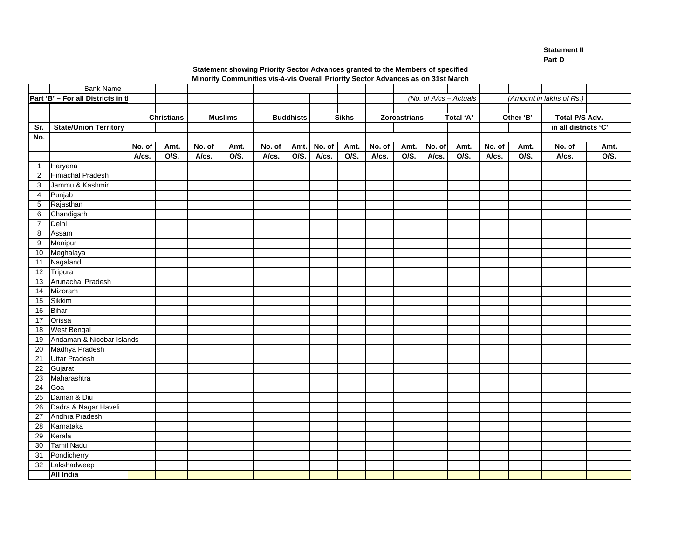**Statement II Part D** 

 **Minority Communities vis-à-vis Overall Priority Sector Advances as on 31st March Statement showing Priority Sector Advances granted to the Members of specified**

|                | <b>Bank Name</b>                  |        |                   |        |                |        |                  |        |              |        |                     |        |                           |        |           |                          |      |
|----------------|-----------------------------------|--------|-------------------|--------|----------------|--------|------------------|--------|--------------|--------|---------------------|--------|---------------------------|--------|-----------|--------------------------|------|
|                | Part 'B' - For all Districts in t |        |                   |        |                |        |                  |        |              |        |                     |        | (No. of $A$ /cs - Actuals |        |           | (Amount in lakhs of Rs.) |      |
|                |                                   |        |                   |        |                |        |                  |        |              |        |                     |        |                           |        |           |                          |      |
|                |                                   |        | <b>Christians</b> |        | <b>Muslims</b> |        | <b>Buddhists</b> |        | <b>Sikhs</b> |        | <b>Zoroastrians</b> |        | Total 'A'                 |        | Other 'B' | Total P/S Adv.           |      |
| Sr.            | <b>State/Union Territory</b>      |        |                   |        |                |        |                  |        |              |        |                     |        |                           |        |           | in all districts 'C'     |      |
| No.            |                                   |        |                   |        |                |        |                  |        |              |        |                     |        |                           |        |           |                          |      |
|                |                                   | No. of | Amt.              | No. of | Amt.           | No. of | Amt.             | No. of | Amt.         | No. of | Amt.                | No. of | Amt.                      | No. of | Amt.      | No. of                   | Amt. |
|                |                                   | A/cs.  | O/S.              | A/cs.  | O/S.           | A/cs.  | O/S.             | A/cs.  | O/S.         | A/cs.  | O/S.                | A/cs.  | O/S.                      | A/cs.  | O/S.      | A/cs.                    | O/S. |
| $\mathbf{1}$   | Haryana                           |        |                   |        |                |        |                  |        |              |        |                     |        |                           |        |           |                          |      |
| 2              | Himachal Pradesh                  |        |                   |        |                |        |                  |        |              |        |                     |        |                           |        |           |                          |      |
| 3              | Jammu & Kashmir                   |        |                   |        |                |        |                  |        |              |        |                     |        |                           |        |           |                          |      |
| $\overline{4}$ | Punjab                            |        |                   |        |                |        |                  |        |              |        |                     |        |                           |        |           |                          |      |
| 5              | Rajasthan                         |        |                   |        |                |        |                  |        |              |        |                     |        |                           |        |           |                          |      |
| 6              | Chandigarh                        |        |                   |        |                |        |                  |        |              |        |                     |        |                           |        |           |                          |      |
| $\overline{7}$ | Delhi                             |        |                   |        |                |        |                  |        |              |        |                     |        |                           |        |           |                          |      |
| 8              | Assam                             |        |                   |        |                |        |                  |        |              |        |                     |        |                           |        |           |                          |      |
| 9              | Manipur                           |        |                   |        |                |        |                  |        |              |        |                     |        |                           |        |           |                          |      |
| 10             | Meghalaya                         |        |                   |        |                |        |                  |        |              |        |                     |        |                           |        |           |                          |      |
| 11             | Nagaland                          |        |                   |        |                |        |                  |        |              |        |                     |        |                           |        |           |                          |      |
| 12             | Tripura                           |        |                   |        |                |        |                  |        |              |        |                     |        |                           |        |           |                          |      |
| 13             | Arunachal Pradesh                 |        |                   |        |                |        |                  |        |              |        |                     |        |                           |        |           |                          |      |
| 14             | Mizoram                           |        |                   |        |                |        |                  |        |              |        |                     |        |                           |        |           |                          |      |
| 15             | Sikkim                            |        |                   |        |                |        |                  |        |              |        |                     |        |                           |        |           |                          |      |
| 16             | <b>Bihar</b>                      |        |                   |        |                |        |                  |        |              |        |                     |        |                           |        |           |                          |      |
| 17             | Orissa                            |        |                   |        |                |        |                  |        |              |        |                     |        |                           |        |           |                          |      |
| 18             | <b>West Bengal</b>                |        |                   |        |                |        |                  |        |              |        |                     |        |                           |        |           |                          |      |
| 19             | Andaman & Nicobar Islands         |        |                   |        |                |        |                  |        |              |        |                     |        |                           |        |           |                          |      |
| 20             | Madhya Pradesh                    |        |                   |        |                |        |                  |        |              |        |                     |        |                           |        |           |                          |      |
| 21             | <b>Uttar Pradesh</b>              |        |                   |        |                |        |                  |        |              |        |                     |        |                           |        |           |                          |      |
| 22             | Gujarat                           |        |                   |        |                |        |                  |        |              |        |                     |        |                           |        |           |                          |      |
| 23             | Maharashtra                       |        |                   |        |                |        |                  |        |              |        |                     |        |                           |        |           |                          |      |
| 24             | Goa                               |        |                   |        |                |        |                  |        |              |        |                     |        |                           |        |           |                          |      |
| 25             | Daman & Diu                       |        |                   |        |                |        |                  |        |              |        |                     |        |                           |        |           |                          |      |
| 26             | Dadra & Nagar Haveli              |        |                   |        |                |        |                  |        |              |        |                     |        |                           |        |           |                          |      |
| 27             | Andhra Pradesh                    |        |                   |        |                |        |                  |        |              |        |                     |        |                           |        |           |                          |      |
| 28             | Karnataka                         |        |                   |        |                |        |                  |        |              |        |                     |        |                           |        |           |                          |      |
| 29             | Kerala                            |        |                   |        |                |        |                  |        |              |        |                     |        |                           |        |           |                          |      |
| 30             | <b>Tamil Nadu</b>                 |        |                   |        |                |        |                  |        |              |        |                     |        |                           |        |           |                          |      |
| 31             | Pondicherry                       |        |                   |        |                |        |                  |        |              |        |                     |        |                           |        |           |                          |      |
| 32             | Lakshadweep                       |        |                   |        |                |        |                  |        |              |        |                     |        |                           |        |           |                          |      |
|                | <b>All India</b>                  |        |                   |        |                |        |                  |        |              |        |                     |        |                           |        |           |                          |      |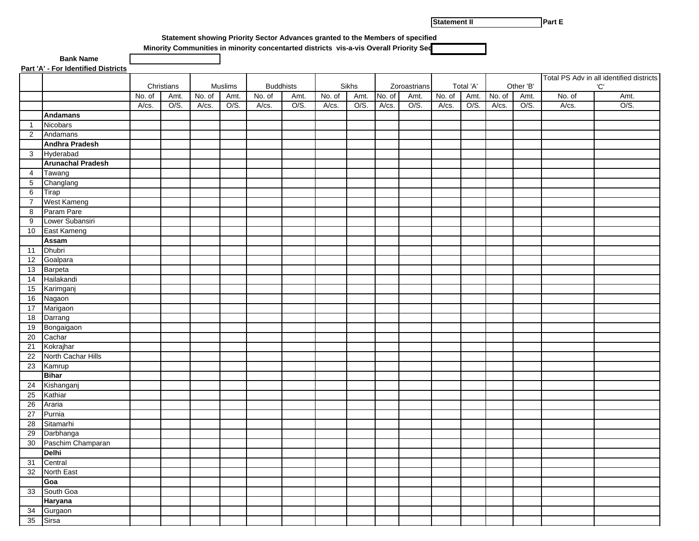**Statement II** 

**Part E** 

**Statement showing Priority Sector Advances granted to the Members of specified**

 **Minority Communities in minority concentarted districts vis-a-vis Overall Priority Sec**

**Part 'A' - For Identified Districts**

 **Bank Name**

|                 | <u>Fail A FFUI Identified Districts</u> |        |                    |        |              |        |                  |        |               |        |                      |        |                   |        |                   |                                          |     |      |
|-----------------|-----------------------------------------|--------|--------------------|--------|--------------|--------|------------------|--------|---------------|--------|----------------------|--------|-------------------|--------|-------------------|------------------------------------------|-----|------|
|                 |                                         |        |                    |        |              |        |                  |        |               |        |                      |        |                   |        |                   | Total PS Adv in all identified districts |     |      |
|                 |                                         | No. of | Christians<br>Amt. | No. of | Muslims      | No. of | <b>Buddhists</b> | No. of | Sikhs<br>Amt. | No. of | Zoroastrians<br>Amt. | No. of | Total 'A'<br>Amt. | No. of | Other 'B'<br>Amt. | No. of                                   | 'C' | Amt. |
|                 |                                         | A/cs.  | O/S.               | A/cs.  | Amt.<br>O/S. | A/cs.  | Amt.<br>O/S.     | A/cs.  | O/S.          | A/cs.  | O/S.                 | A/cs.  | O/S.              | A/cs.  | O/S.              | A/cs.                                    |     | O/S. |
|                 | <b>Andamans</b>                         |        |                    |        |              |        |                  |        |               |        |                      |        |                   |        |                   |                                          |     |      |
| $\overline{1}$  | Nicobars                                |        |                    |        |              |        |                  |        |               |        |                      |        |                   |        |                   |                                          |     |      |
| 2               | Andamans                                |        |                    |        |              |        |                  |        |               |        |                      |        |                   |        |                   |                                          |     |      |
|                 | <b>Andhra Pradesh</b>                   |        |                    |        |              |        |                  |        |               |        |                      |        |                   |        |                   |                                          |     |      |
| $\mathbf{3}$    | Hyderabad                               |        |                    |        |              |        |                  |        |               |        |                      |        |                   |        |                   |                                          |     |      |
|                 | <b>Arunachal Pradesh</b>                |        |                    |        |              |        |                  |        |               |        |                      |        |                   |        |                   |                                          |     |      |
| 4               | Tawang                                  |        |                    |        |              |        |                  |        |               |        |                      |        |                   |        |                   |                                          |     |      |
| $5\phantom{.0}$ | Changlang                               |        |                    |        |              |        |                  |        |               |        |                      |        |                   |        |                   |                                          |     |      |
| 6               | Tirap                                   |        |                    |        |              |        |                  |        |               |        |                      |        |                   |        |                   |                                          |     |      |
| $\overline{7}$  | West Kameng                             |        |                    |        |              |        |                  |        |               |        |                      |        |                   |        |                   |                                          |     |      |
| 8               | Param Pare                              |        |                    |        |              |        |                  |        |               |        |                      |        |                   |        |                   |                                          |     |      |
| 9               | Lower Subansiri                         |        |                    |        |              |        |                  |        |               |        |                      |        |                   |        |                   |                                          |     |      |
| 10              | East Kameng                             |        |                    |        |              |        |                  |        |               |        |                      |        |                   |        |                   |                                          |     |      |
|                 | <b>Assam</b>                            |        |                    |        |              |        |                  |        |               |        |                      |        |                   |        |                   |                                          |     |      |
| 11              | Dhubri                                  |        |                    |        |              |        |                  |        |               |        |                      |        |                   |        |                   |                                          |     |      |
| 12              | Goalpara                                |        |                    |        |              |        |                  |        |               |        |                      |        |                   |        |                   |                                          |     |      |
| 13              | Barpeta                                 |        |                    |        |              |        |                  |        |               |        |                      |        |                   |        |                   |                                          |     |      |
| 14              | Hailakandi                              |        |                    |        |              |        |                  |        |               |        |                      |        |                   |        |                   |                                          |     |      |
| 15              | Karimganj                               |        |                    |        |              |        |                  |        |               |        |                      |        |                   |        |                   |                                          |     |      |
| 16              | Nagaon                                  |        |                    |        |              |        |                  |        |               |        |                      |        |                   |        |                   |                                          |     |      |
| 17              | Marigaon                                |        |                    |        |              |        |                  |        |               |        |                      |        |                   |        |                   |                                          |     |      |
| 18              | Darrang                                 |        |                    |        |              |        |                  |        |               |        |                      |        |                   |        |                   |                                          |     |      |
| 19              | Bongaigaon                              |        |                    |        |              |        |                  |        |               |        |                      |        |                   |        |                   |                                          |     |      |
| 20              | Cachar                                  |        |                    |        |              |        |                  |        |               |        |                      |        |                   |        |                   |                                          |     |      |
| 21              | Kokrajhar                               |        |                    |        |              |        |                  |        |               |        |                      |        |                   |        |                   |                                          |     |      |
| 22              | North Cachar Hills                      |        |                    |        |              |        |                  |        |               |        |                      |        |                   |        |                   |                                          |     |      |
| 23              | Kamrup                                  |        |                    |        |              |        |                  |        |               |        |                      |        |                   |        |                   |                                          |     |      |
|                 | <b>Bihar</b>                            |        |                    |        |              |        |                  |        |               |        |                      |        |                   |        |                   |                                          |     |      |
| 24              | Kishanganj                              |        |                    |        |              |        |                  |        |               |        |                      |        |                   |        |                   |                                          |     |      |
| 25              | Kathiar                                 |        |                    |        |              |        |                  |        |               |        |                      |        |                   |        |                   |                                          |     |      |
| 26              | Araria                                  |        |                    |        |              |        |                  |        |               |        |                      |        |                   |        |                   |                                          |     |      |
| 27              | Purnia                                  |        |                    |        |              |        |                  |        |               |        |                      |        |                   |        |                   |                                          |     |      |
| 28<br>29        | Sitamarhi                               |        |                    |        |              |        |                  |        |               |        |                      |        |                   |        |                   |                                          |     |      |
| 30              | Darbhanga<br>Paschim Champaran          |        |                    |        |              |        |                  |        |               |        |                      |        |                   |        |                   |                                          |     |      |
|                 | Delhi                                   |        |                    |        |              |        |                  |        |               |        |                      |        |                   |        |                   |                                          |     |      |
| 31              | Central                                 |        |                    |        |              |        |                  |        |               |        |                      |        |                   |        |                   |                                          |     |      |
| 32              | North East                              |        |                    |        |              |        |                  |        |               |        |                      |        |                   |        |                   |                                          |     |      |
|                 | Goa                                     |        |                    |        |              |        |                  |        |               |        |                      |        |                   |        |                   |                                          |     |      |
| 33              | South Goa                               |        |                    |        |              |        |                  |        |               |        |                      |        |                   |        |                   |                                          |     |      |
|                 | Haryana                                 |        |                    |        |              |        |                  |        |               |        |                      |        |                   |        |                   |                                          |     |      |
| 34              | Gurgaon                                 |        |                    |        |              |        |                  |        |               |        |                      |        |                   |        |                   |                                          |     |      |
| 35              | Sirsa                                   |        |                    |        |              |        |                  |        |               |        |                      |        |                   |        |                   |                                          |     |      |
|                 |                                         |        |                    |        |              |        |                  |        |               |        |                      |        |                   |        |                   |                                          |     |      |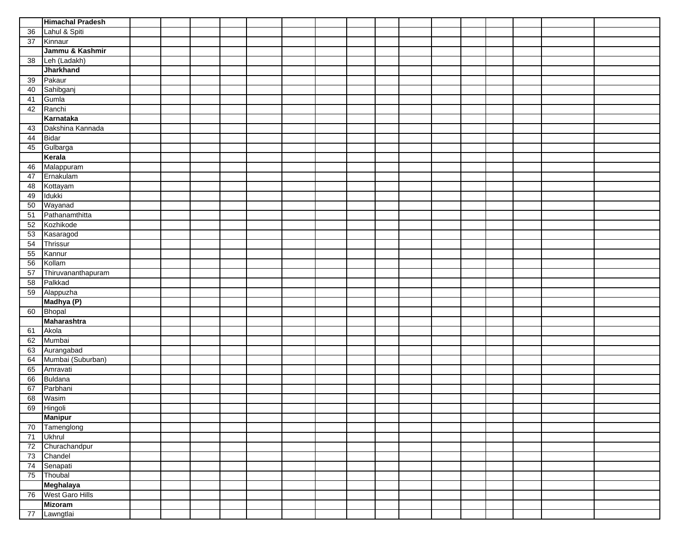|    | <b>Himachal Pradesh</b> |  |  |  |  |  |  |  |  |
|----|-------------------------|--|--|--|--|--|--|--|--|
| 36 | Lahul & Spiti           |  |  |  |  |  |  |  |  |
| 37 | Kinnaur                 |  |  |  |  |  |  |  |  |
|    | Jammu & Kashmir         |  |  |  |  |  |  |  |  |
| 38 | Leh (Ladakh)            |  |  |  |  |  |  |  |  |
|    | <b>Jharkhand</b>        |  |  |  |  |  |  |  |  |
| 39 | Pakaur                  |  |  |  |  |  |  |  |  |
| 40 | Sahibganj               |  |  |  |  |  |  |  |  |
| 41 | Gumla                   |  |  |  |  |  |  |  |  |
| 42 | Ranchi                  |  |  |  |  |  |  |  |  |
|    | Karnataka               |  |  |  |  |  |  |  |  |
| 43 | Dakshina Kannada        |  |  |  |  |  |  |  |  |
| 44 | Bidar                   |  |  |  |  |  |  |  |  |
| 45 | Gulbarga                |  |  |  |  |  |  |  |  |
|    | Kerala                  |  |  |  |  |  |  |  |  |
| 46 | Malappuram              |  |  |  |  |  |  |  |  |
| 47 | Ernakulam               |  |  |  |  |  |  |  |  |
| 48 | Kottayam                |  |  |  |  |  |  |  |  |
| 49 | Idukki                  |  |  |  |  |  |  |  |  |
| 50 | Wayanad                 |  |  |  |  |  |  |  |  |
| 51 | Pathanamthitta          |  |  |  |  |  |  |  |  |
| 52 | Kozhikode               |  |  |  |  |  |  |  |  |
| 53 | Kasaragod               |  |  |  |  |  |  |  |  |
| 54 | Thrissur                |  |  |  |  |  |  |  |  |
| 55 | Kannur                  |  |  |  |  |  |  |  |  |
| 56 | Kollam                  |  |  |  |  |  |  |  |  |
| 57 | Thiruvananthapuram      |  |  |  |  |  |  |  |  |
| 58 | Palkkad                 |  |  |  |  |  |  |  |  |
| 59 | Alappuzha               |  |  |  |  |  |  |  |  |
|    | Madhya (P)              |  |  |  |  |  |  |  |  |
| 60 | Bhopal                  |  |  |  |  |  |  |  |  |
|    | Maharashtra             |  |  |  |  |  |  |  |  |
| 61 | Akola                   |  |  |  |  |  |  |  |  |
| 62 | Mumbai                  |  |  |  |  |  |  |  |  |
| 63 | Aurangabad              |  |  |  |  |  |  |  |  |
| 64 | Mumbai (Suburban)       |  |  |  |  |  |  |  |  |
| 65 | Amravati                |  |  |  |  |  |  |  |  |
| 66 | Buldana                 |  |  |  |  |  |  |  |  |
| 67 | Parbhani                |  |  |  |  |  |  |  |  |
| 68 | Wasim                   |  |  |  |  |  |  |  |  |
| 69 | Hingoli                 |  |  |  |  |  |  |  |  |
|    | <b>Manipur</b>          |  |  |  |  |  |  |  |  |
| 70 | Tamenglong              |  |  |  |  |  |  |  |  |
| 71 | <b>Ukhrul</b>           |  |  |  |  |  |  |  |  |
| 72 | Churachandpur           |  |  |  |  |  |  |  |  |
| 73 | Chandel                 |  |  |  |  |  |  |  |  |
| 74 | Senapati                |  |  |  |  |  |  |  |  |
| 75 | Thoubal                 |  |  |  |  |  |  |  |  |
|    | Meghalaya               |  |  |  |  |  |  |  |  |
|    | 76 West Garo Hills      |  |  |  |  |  |  |  |  |
|    | <b>Mizoram</b>          |  |  |  |  |  |  |  |  |
| 77 | Lawngtlai               |  |  |  |  |  |  |  |  |